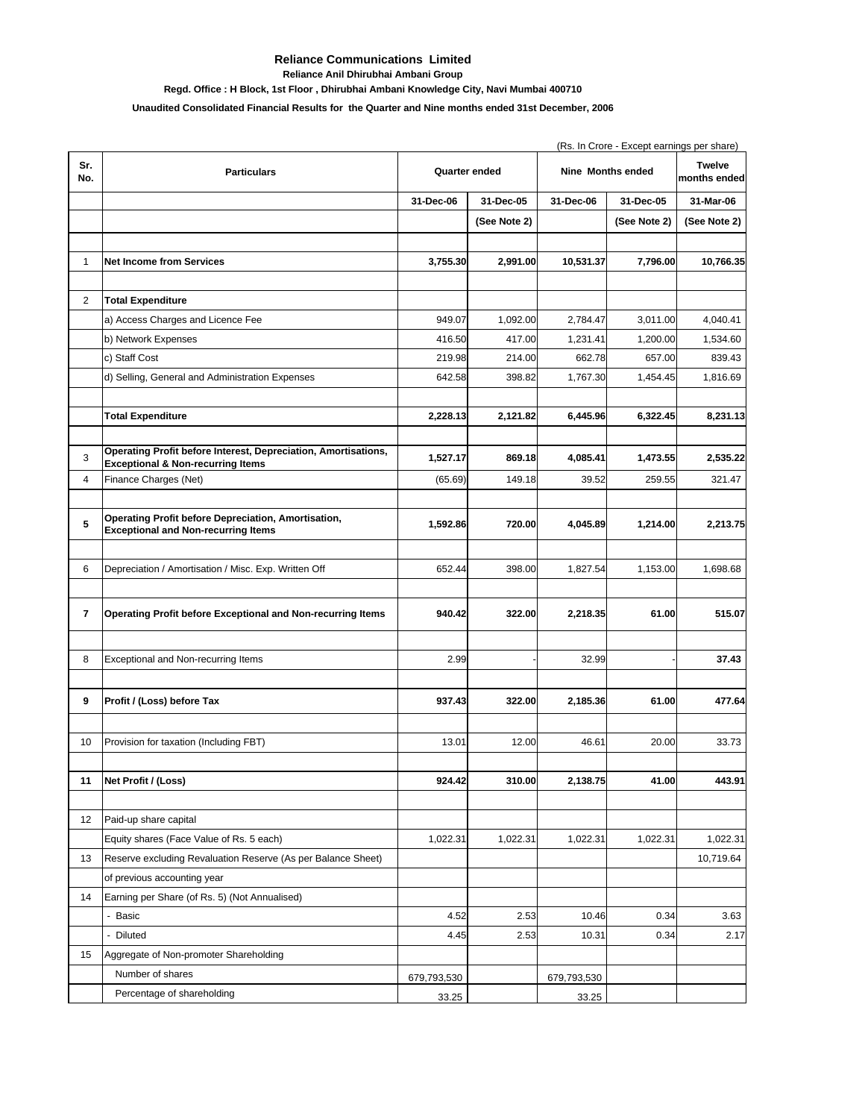## **Reliance Communications Limited**

**Reliance Anil Dhirubhai Ambani Group**

**Regd. Office : H Block, 1st Floor , Dhirubhai Ambani Knowledge City, Navi Mumbai 400710**

## **Unaudited Consolidated Financial Results for the Quarter and Nine months ended 31st December, 2006**

|                |                                                                                                                | (Rs. In Crore - Except earnings per share) |              |                   |              |                               |  |
|----------------|----------------------------------------------------------------------------------------------------------------|--------------------------------------------|--------------|-------------------|--------------|-------------------------------|--|
| Sr.<br>No.     | <b>Particulars</b>                                                                                             | Quarter ended                              |              | Nine Months ended |              | <b>Twelve</b><br>months ended |  |
|                |                                                                                                                | 31-Dec-06                                  | 31-Dec-05    | 31-Dec-06         | 31-Dec-05    | 31-Mar-06                     |  |
|                |                                                                                                                |                                            | (See Note 2) |                   | (See Note 2) | (See Note 2)                  |  |
| $\mathbf{1}$   | <b>Net Income from Services</b>                                                                                | 3,755.30                                   | 2,991.00     | 10,531.37         | 7,796.00     | 10,766.35                     |  |
|                |                                                                                                                |                                            |              |                   |              |                               |  |
| 2              | <b>Total Expenditure</b>                                                                                       |                                            |              |                   |              |                               |  |
|                | a) Access Charges and Licence Fee                                                                              | 949.07                                     | 1,092.00     | 2,784.47          | 3,011.00     | 4,040.41                      |  |
|                | b) Network Expenses                                                                                            | 416.50                                     | 417.00       | 1,231.41          | 1,200.00     | 1,534.60                      |  |
|                | c) Staff Cost                                                                                                  | 219.98                                     | 214.00       | 662.78            | 657.00       | 839.43                        |  |
|                | d) Selling, General and Administration Expenses                                                                | 642.58                                     | 398.82       | 1,767.30          | 1,454.45     | 1,816.69                      |  |
|                | <b>Total Expenditure</b>                                                                                       | 2,228.13                                   | 2,121.82     | 6,445.96          | 6,322.45     | 8,231.13                      |  |
| 3              | Operating Profit before Interest, Depreciation, Amortisations,<br><b>Exceptional &amp; Non-recurring Items</b> | 1,527.17                                   | 869.18       | 4,085.41          | 1,473.55     | 2,535.22                      |  |
| $\overline{4}$ | Finance Charges (Net)                                                                                          | (65.69)                                    | 149.18       | 39.52             | 259.55       | 321.47                        |  |
|                |                                                                                                                |                                            |              |                   |              |                               |  |
| 5              | Operating Profit before Depreciation, Amortisation,<br><b>Exceptional and Non-recurring Items</b>              | 1,592.86                                   | 720.00       | 4,045.89          | 1,214.00     | 2,213.75                      |  |
| 6              | Depreciation / Amortisation / Misc. Exp. Written Off                                                           | 652.44                                     | 398.00       | 1,827.54          | 1,153.00     | 1,698.68                      |  |
| 7              | <b>Operating Profit before Exceptional and Non-recurring Items</b>                                             | 940.42                                     | 322.00       | 2,218.35          | 61.00        | 515.07                        |  |
| 8              | Exceptional and Non-recurring Items                                                                            | 2.99                                       |              | 32.99             |              | 37.43                         |  |
| 9              | Profit / (Loss) before Tax                                                                                     | 937.43                                     | 322.00       | 2,185.36          | 61.00        | 477.64                        |  |
| 10             | Provision for taxation (Including FBT)                                                                         | 13.01                                      | 12.00        | 46.61             | 20.00        | 33.73                         |  |
|                |                                                                                                                |                                            |              |                   |              |                               |  |
| 11             | Net Profit / (Loss)                                                                                            | 924.42                                     | 310.00       | 2,138.75          | 41.00        | 443.91                        |  |
| 12             | Paid-up share capital                                                                                          |                                            |              |                   |              |                               |  |
|                | Equity shares (Face Value of Rs. 5 each)                                                                       | 1,022.31                                   | 1,022.31     | 1,022.31          | 1,022.31     | 1,022.31                      |  |
|                | Reserve excluding Revaluation Reserve (As per Balance Sheet)                                                   |                                            |              |                   |              | 10,719.64                     |  |
| 13             |                                                                                                                |                                            |              |                   |              |                               |  |
| 14             | of previous accounting year<br>Earning per Share (of Rs. 5) (Not Annualised)                                   |                                            |              |                   |              |                               |  |
|                | - Basic                                                                                                        | 4.52                                       | 2.53         | 10.46             | 0.34         | 3.63                          |  |
|                | - Diluted                                                                                                      | 4.45                                       | 2.53         | 10.31             | 0.34         | 2.17                          |  |
|                |                                                                                                                |                                            |              |                   |              |                               |  |
| 15             | Aggregate of Non-promoter Shareholding                                                                         |                                            |              |                   |              |                               |  |
|                | Number of shares                                                                                               | 679,793,530                                |              | 679,793,530       |              |                               |  |
|                | Percentage of shareholding                                                                                     | 33.25                                      |              | 33.25             |              |                               |  |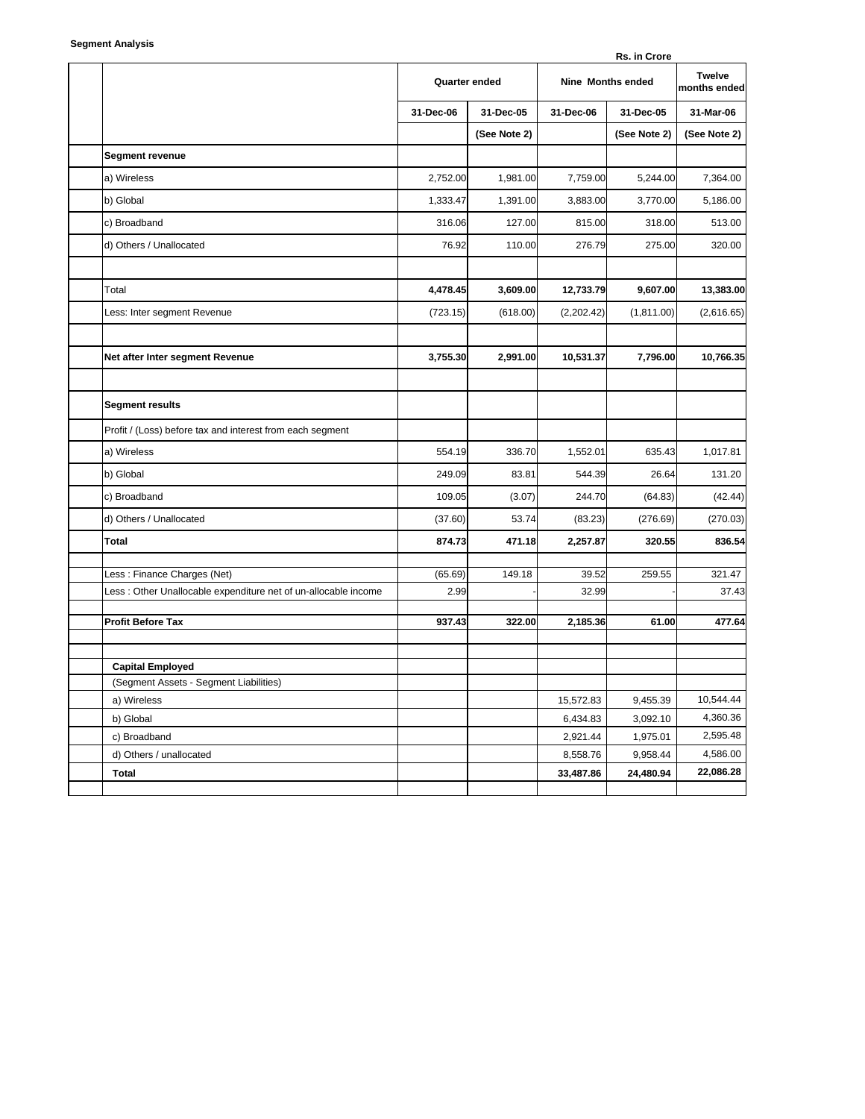| <b>Segment Analysis</b> |  |
|-------------------------|--|
|-------------------------|--|

|                                                                | Rs. in Crore  |              |                   |              |                               |  |
|----------------------------------------------------------------|---------------|--------------|-------------------|--------------|-------------------------------|--|
|                                                                | Quarter ended |              | Nine Months ended |              | <b>Twelve</b><br>months ended |  |
|                                                                | 31-Dec-06     | 31-Dec-05    | 31-Dec-06         | 31-Dec-05    | 31-Mar-06                     |  |
|                                                                |               | (See Note 2) |                   | (See Note 2) | (See Note 2)                  |  |
| Segment revenue                                                |               |              |                   |              |                               |  |
| a) Wireless                                                    | 2,752.00      | 1,981.00     | 7,759.00          | 5,244.00     | 7,364.00                      |  |
| b) Global                                                      | 1,333.47      | 1,391.00     | 3,883.00          | 3,770.00     | 5,186.00                      |  |
| c) Broadband                                                   | 316.06        | 127.00       | 815.00            | 318.00       | 513.00                        |  |
| d) Others / Unallocated                                        | 76.92         | 110.00       | 276.79            | 275.00       | 320.00                        |  |
| Total                                                          | 4,478.45      | 3,609.00     | 12,733.79         | 9,607.00     | 13,383.00                     |  |
| Less: Inter segment Revenue                                    | (723.15)      | (618.00)     | (2,202.42)        | (1, 811.00)  | (2,616.65)                    |  |
|                                                                |               |              |                   |              |                               |  |
| Net after Inter segment Revenue                                | 3,755.30      | 2,991.00     | 10,531.37         | 7,796.00     | 10,766.35                     |  |
|                                                                |               |              |                   |              |                               |  |
| <b>Segment results</b>                                         |               |              |                   |              |                               |  |
| Profit / (Loss) before tax and interest from each segment      |               |              |                   |              |                               |  |
| a) Wireless                                                    | 554.19        | 336.70       | 1,552.01          | 635.43       | 1,017.81                      |  |
| b) Global                                                      | 249.09        | 83.81        | 544.39            | 26.64        | 131.20                        |  |
| c) Broadband                                                   | 109.05        | (3.07)       | 244.70            | (64.83)      | (42.44)                       |  |
| d) Others / Unallocated                                        | (37.60)       | 53.74        | (83.23)           | (276.69)     | (270.03)                      |  |
| <b>Total</b>                                                   | 874.73        | 471.18       | 2,257.87          | 320.55       | 836.54                        |  |
| Less: Finance Charges (Net)                                    | (65.69)       | 149.18       | 39.52             | 259.55       | 321.47                        |  |
| Less: Other Unallocable expenditure net of un-allocable income | 2.99          |              | 32.99             |              | 37.43                         |  |
| <b>Profit Before Tax</b>                                       | 937.43        | 322.00       | 2,185.36          | 61.00        | 477.64                        |  |
| <b>Capital Employed</b>                                        |               |              |                   |              |                               |  |
| (Segment Assets - Segment Liabilities)                         |               |              |                   |              |                               |  |
| a) Wireless                                                    |               |              | 15,572.83         | 9,455.39     | 10,544.44                     |  |
| b) Global                                                      |               |              | 6,434.83          | 3,092.10     | 4,360.36                      |  |
| c) Broadband                                                   |               |              | 2,921.44          | 1,975.01     | 2,595.48                      |  |
| d) Others / unallocated                                        |               |              | 8,558.76          | 9,958.44     | 4,586.00                      |  |
| <b>Total</b>                                                   |               |              | 33,487.86         | 24,480.94    | 22,086.28                     |  |